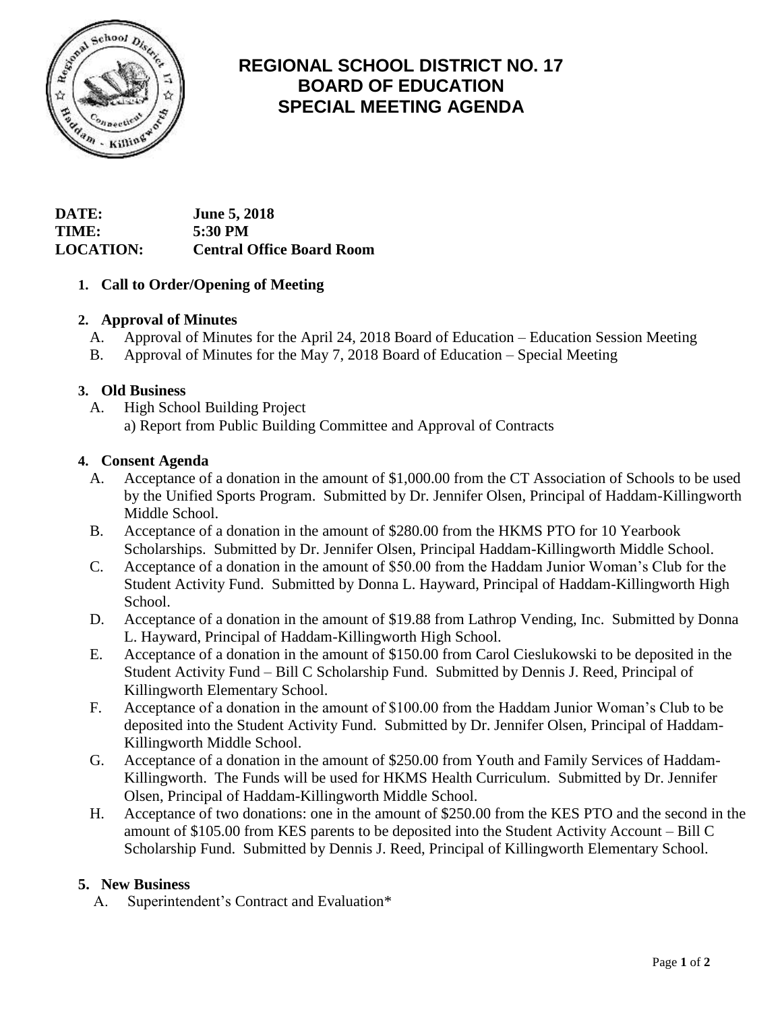

# **REGIONAL SCHOOL DISTRICT NO. 17 BOARD OF EDUCATION SPECIAL MEETING AGENDA**

# **DATE: June 5, 2018 TIME: 5:30 PM LOCATION: Central Office Board Room**

### **1. Call to Order/Opening of Meeting**

### **2. Approval of Minutes**

- A. Approval of Minutes for the April 24, 2018 Board of Education Education Session Meeting
- B. Approval of Minutes for the May 7, 2018 Board of Education Special Meeting

### **3. Old Business**

A. High School Building Project a) Report from Public Building Committee and Approval of Contracts

### **4. Consent Agenda**

- A. Acceptance of a donation in the amount of \$1,000.00 from the CT Association of Schools to be used by the Unified Sports Program. Submitted by Dr. Jennifer Olsen, Principal of Haddam-Killingworth Middle School.
- B. Acceptance of a donation in the amount of \$280.00 from the HKMS PTO for 10 Yearbook Scholarships. Submitted by Dr. Jennifer Olsen, Principal Haddam-Killingworth Middle School.
- C. Acceptance of a donation in the amount of \$50.00 from the Haddam Junior Woman's Club for the Student Activity Fund. Submitted by Donna L. Hayward, Principal of Haddam-Killingworth High School.
- D. Acceptance of a donation in the amount of \$19.88 from Lathrop Vending, Inc. Submitted by Donna L. Hayward, Principal of Haddam-Killingworth High School.
- E. Acceptance of a donation in the amount of \$150.00 from Carol Cieslukowski to be deposited in the Student Activity Fund – Bill C Scholarship Fund. Submitted by Dennis J. Reed, Principal of Killingworth Elementary School.
- F. Acceptance of a donation in the amount of \$100.00 from the Haddam Junior Woman's Club to be deposited into the Student Activity Fund. Submitted by Dr. Jennifer Olsen, Principal of Haddam-Killingworth Middle School.
- G. Acceptance of a donation in the amount of \$250.00 from Youth and Family Services of Haddam-Killingworth. The Funds will be used for HKMS Health Curriculum. Submitted by Dr. Jennifer Olsen, Principal of Haddam-Killingworth Middle School.
- H. Acceptance of two donations: one in the amount of \$250.00 from the KES PTO and the second in the amount of \$105.00 from KES parents to be deposited into the Student Activity Account – Bill C Scholarship Fund. Submitted by Dennis J. Reed, Principal of Killingworth Elementary School.

# **5. New Business**

A. Superintendent's Contract and Evaluation\*